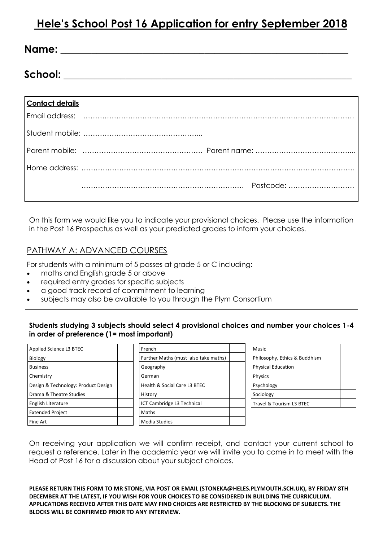# **Hele's School Post 16 Application for entry September 2018**

### **Name:**  $\blacksquare$

## $School:$

| <b>Contact details</b> |  |
|------------------------|--|
|                        |  |
|                        |  |
|                        |  |
|                        |  |
|                        |  |

On this form we would like you to indicate your provisional choices. Please use the information in the Post 16 Prospectus as well as your predicted grades to inform your choices.

#### PATHWAY A: ADVANCED COURSES

For students with a minimum of 5 passes at grade 5 or C including:

- maths and English grade 5 or above
- required entry grades for specific subjects
- a good track record of commitment to learning
- subjects may also be available to you through the Plym Consortium

#### **Students studying 3 subjects should select 4 provisional choices and number your choices 1-4 in order of preference (1= most important)**

| Applied Science L3 BTEC             | French                               |  |
|-------------------------------------|--------------------------------------|--|
| Biology                             | Further Maths (must also take maths) |  |
| <b>Business</b>                     | Geography                            |  |
| Chemistry                           | German                               |  |
| Design & Technology: Product Design | Health & Social Care L3 BTEC         |  |
| Drama & Theatre Studies             | History                              |  |
| English Literature                  | ICT Cambridge L3 Technical           |  |
| <b>Extended Project</b>             | Maths                                |  |
| Fine Art                            | Media Studies                        |  |

On receiving your application we will confirm receipt, and contact your current school to request a reference. Later in the academic year we will invite you to come in to meet with the Head of Post 16 for a discussion about your subject choices.

**PLEASE RETURN THIS FORM TO MR STONE, VIA POST OR EMAIL (STONEKA@HELES.PLYMOUTH.SCH.UK), BY FRIDAY 8TH DECEMBER AT THE LATEST, IF YOU WISH FOR YOUR CHOICES TO BE CONSIDERED IN BUILDING THE CURRICULUM. APPLICATIONS RECEIVED AFTER THIS DATE MAY FIND CHOICES ARE RESTRICTED BY THE BLOCKING OF SUBJECTS. THE BLOCKS WILL BE CONFIRMED PRIOR TO ANY INTERVIEW.**